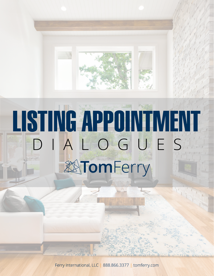

Ferry International, LLC | 888.866.3377 | tomferry.com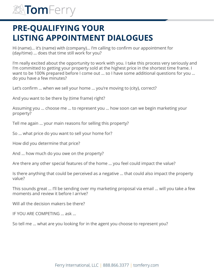## **PRE-QUALIFYING YOUR LISTING APPOINTMENT DIALOGUES**

Hi (name)… it's (name) with (company)… I'm calling to confirm our appointment for (day/time) … does that time still work for you?

I'm really excited about the opportunity to work with you. I take this process very seriously and I'm committed to getting your property sold at the highest price in the shortest time frame. I want to be 100% prepared before I come out … so I have some additional questions for you … do you have a few minutes?

Let's confirm … when we sell your home … you're moving to (city), correct?

And you want to be there by (time frame) right?

Assuming you … choose me … to represent you … how soon can we begin marketing your property?

Tell me again … your main reasons for selling this property?

So … what price do you want to sell your home for?

How did you determine that price?

And … how much do you owe on the property?

Are there any other special features of the home … you feel could impact the value?

Is there anything that could be perceived as a negative … that could also impact the property value?

This sounds great … I'll be sending over my marketing proposal via email … will you take a few moments and review it before I arrive?

Will all the decision makers be there?

IF YOU ARE COMPETING … ask …

So tell me … what are you looking for in the agent you choose to represent you?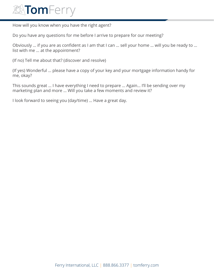

How will you know when you have the right agent?

Do you have any questions for me before I arrive to prepare for our meeting?

Obviously … if you are as confident as I am that I can … sell your home … will you be ready to … list with me … at the appointment?

(If no) Tell me about that? (discover and resolve)

(If yes) Wonderful … please have a copy of your key and your mortgage information handy for me, okay?

This sounds great … I have everything I need to prepare … Again… I'll be sending over my marketing plan and more … Will you take a few moments and review it?

I look forward to seeing you (day/time) … Have a great day.